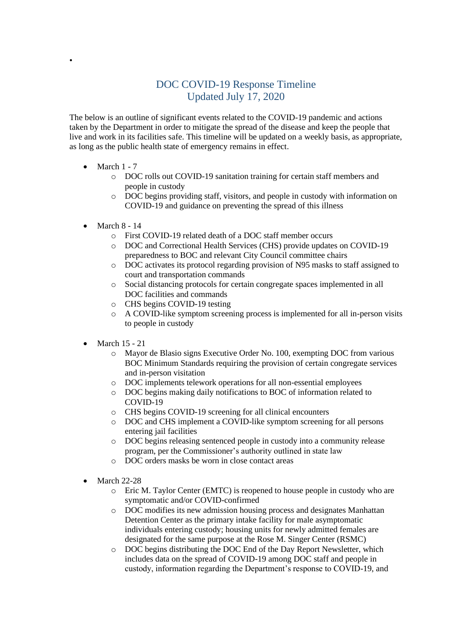## DOC COVID-19 Response Timeline Updated July 17, 2020

The below is an outline of significant events related to the COVID-19 pandemic and actions taken by the Department in order to mitigate the spread of the disease and keep the people that live and work in its facilities safe. This timeline will be updated on a weekly basis, as appropriate, as long as the public health state of emergency remains in effect.

• March  $1 - 7$ 

•

- o DOC rolls out COVID-19 sanitation training for certain staff members and people in custody
- o DOC begins providing staff, visitors, and people in custody with information on COVID-19 and guidance on preventing the spread of this illness
- March  $8 14$ 
	- o First COVID-19 related death of a DOC staff member occurs
	- o DOC and Correctional Health Services (CHS) provide updates on COVID-19 preparedness to BOC and relevant City Council committee chairs
	- o DOC activates its protocol regarding provision of N95 masks to staff assigned to court and transportation commands
	- o Social distancing protocols for certain congregate spaces implemented in all DOC facilities and commands
	- o CHS begins COVID-19 testing
	- o A COVID-like symptom screening process is implemented for all in-person visits to people in custody
- March 15 21
	- o Mayor de Blasio signs Executive Order No. 100, exempting DOC from various BOC Minimum Standards requiring the provision of certain congregate services and in-person visitation
	- o DOC implements telework operations for all non-essential employees
	- o DOC begins making daily notifications to BOC of information related to COVID-19
	- o CHS begins COVID-19 screening for all clinical encounters
	- o DOC and CHS implement a COVID-like symptom screening for all persons entering jail facilities
	- o DOC begins releasing sentenced people in custody into a community release program, per the Commissioner's authority outlined in state law
	- o DOC orders masks be worn in close contact areas
- March 22-28
	- o Eric M. Taylor Center (EMTC) is reopened to house people in custody who are symptomatic and/or COVID-confirmed
	- o DOC modifies its new admission housing process and designates Manhattan Detention Center as the primary intake facility for male asymptomatic individuals entering custody; housing units for newly admitted females are designated for the same purpose at the Rose M. Singer Center (RSMC)
	- o DOC begins distributing the DOC End of the Day Report Newsletter, which includes data on the spread of COVID-19 among DOC staff and people in custody, information regarding the Department's response to COVID-19, and